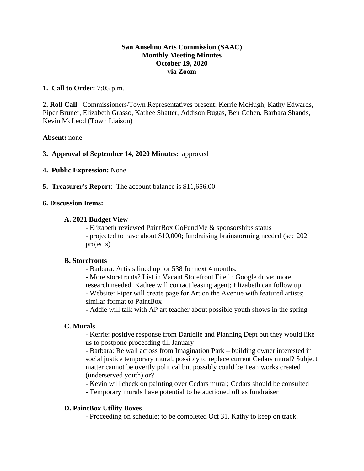# **San Anselmo Arts Commission (SAAC) Monthly Meeting Minutes October 19, 2020 via Zoom**

# **1. Call to Order:** 7:05 p.m.

**2. Roll Call**: Commissioners/Town Representatives present: Kerrie McHugh, Kathy Edwards, Piper Bruner, Elizabeth Grasso, Kathee Shatter, Addison Bugas, Ben Cohen, Barbara Shands, Kevin McLeod (Town Liaison)

## **Absent:** none

## **3. Approval of September 14, 2020 Minutes**: approved

- **4. Public Expression:** None
- **5. Treasurer's Report**: The account balance is \$11,656.00

## **6. Discussion Items:**

## **A. 2021 Budget View**

- Elizabeth reviewed PaintBox GoFundMe & sponsorships status - projected to have about \$10,000; fundraising brainstorming needed (see 2021 projects)

## **B. Storefronts**

- Barbara: Artists lined up for 538 for next 4 months.

- More storefronts? List in Vacant Storefront File in Google drive; more

research needed. Kathee will contact leasing agent; Elizabeth can follow up.

- Website: Piper will create page for Art on the Avenue with featured artists; similar format to PaintBox

- Addie will talk with AP art teacher about possible youth shows in the spring

## **C. Murals**

- Kerrie: positive response from Danielle and Planning Dept but they would like us to postpone proceeding till January

- Barbara: Re wall across from Imagination Park – building owner interested in social justice temporary mural, possibly to replace current Cedars mural? Subject matter cannot be overtly political but possibly could be Teamworks created (underserved youth) or?

- Kevin will check on painting over Cedars mural; Cedars should be consulted

- Temporary murals have potential to be auctioned off as fundraiser

# **D. PaintBox Utility Boxes**

- Proceeding on schedule; to be completed Oct 31. Kathy to keep on track.